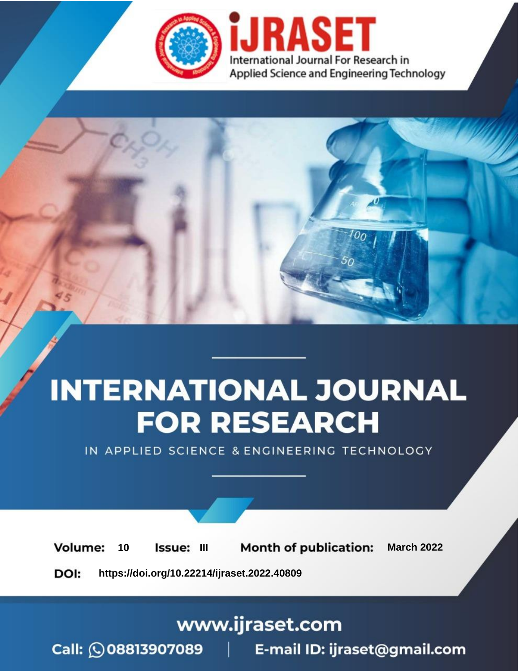

# **INTERNATIONAL JOURNAL FOR RESEARCH**

IN APPLIED SCIENCE & ENGINEERING TECHNOLOGY

10 **Issue: III Month of publication:** March 2022 **Volume:** 

**https://doi.org/10.22214/ijraset.2022.40809**DOI:

www.ijraset.com

Call: 008813907089 | E-mail ID: ijraset@gmail.com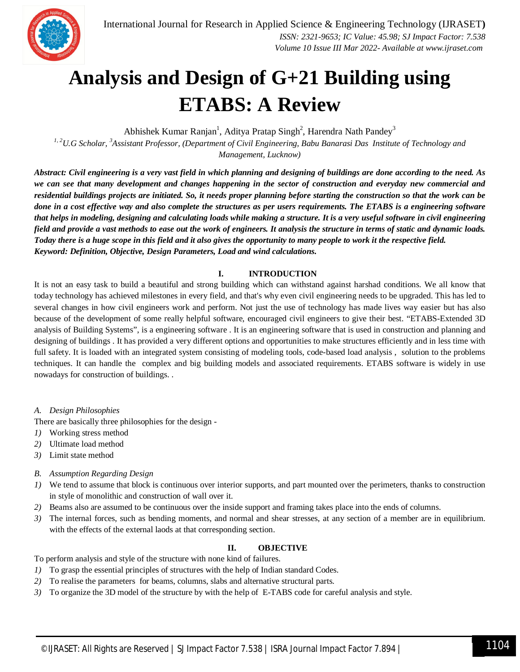

### **Analysis and Design of G+21 Building using ETABS: A Review**

Abhishek Kumar Ranjan<sup>1</sup>, Aditya Pratap Singh<sup>2</sup>, Harendra Nath Pandey<sup>3</sup>

*1, 2U.G Scholar, <sup>3</sup>Assistant Professor, (Department of Civil Engineering, Babu Banarasi Das Institute of Technology and Management, Lucknow)*

*Abstract: Civil engineering is a very vast field in which planning and designing of buildings are done according to the need. As we can see that many development and changes happening in the sector of construction and everyday new commercial and residential buildings projects are initiated. So, it needs proper planning before starting the construction so that the work can be done in a cost effective way and also complete the structures as per users requirements. The ETABS is a engineering software that helps in modeling, designing and calculating loads while making a structure. It is a very useful software in civil engineering field and provide a vast methods to ease out the work of engineers. It analysis the structure in terms of static and dynamic loads. Today there is a huge scope in this field and it also gives the opportunity to many people to work it the respective field. Keyword: Definition, Objective, Design Parameters, Load and wind calculations.* 

#### **I. INTRODUCTION**

It is not an easy task to build a beautiful and strong building which can withstand against harshad conditions. We all know that today technology has achieved milestones in every field, and that's why even civil engineering needs to be upgraded. This has led to several changes in how civil engineers work and perform. Not just the use of technology has made lives way easier but has also because of the development of some really helpful software, encouraged civil engineers to give their best. "ETABS-Extended 3D analysis of Building Systems", is a engineering software . It is an engineering software that is used in construction and planning and designing of buildings . It has provided a very different options and opportunities to make structures efficiently and in less time with full safety. It is loaded with an integrated system consisting of modeling tools, code-based load analysis , solution to the problems techniques. It can handle the complex and big building models and associated requirements. ETABS software is widely in use nowadays for construction of buildings. .

#### *A. Design Philosophies*

There are basically three philosophies for the design -

- *1)* Working stress method
- *2)* Ultimate load method
- *3)* Limit state method
- *B. Assumption Regarding Design*
- *1)* We tend to assume that block is continuous over interior supports, and part mounted over the perimeters, thanks to construction in style of monolithic and construction of wall over it.
- *2)* Beams also are assumed to be continuous over the inside support and framing takes place into the ends of columns.
- *3)* The internal forces, such as bending moments, and normal and shear stresses, at any section of a member are in equilibrium. with the effects of the external laods at that corresponding section.

#### **II. OBJECTIVE**

To perform analysis and style of the structure with none kind of failures.

- *1)* To grasp the essential principles of structures with the help of Indian standard Codes.
- *2)* To realise the parameters for beams, columns, slabs and alternative structural parts.
- *3)* To organize the 3D model of the structure by with the help of E-TABS code for careful analysis and style.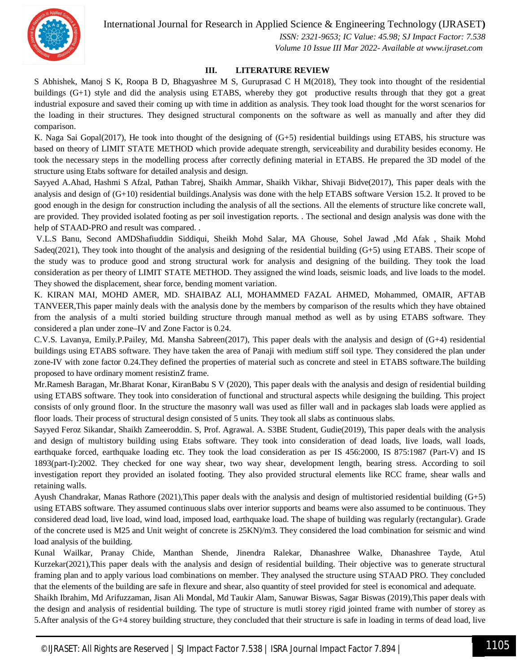International Journal for Research in Applied Science & Engineering Technology (IJRASET**)**



 *ISSN: 2321-9653; IC Value: 45.98; SJ Impact Factor: 7.538 Volume 10 Issue III Mar 2022- Available at www.ijraset.com*

#### **III. LITERATURE REVIEW**

S Abhishek, Manoj S K, Roopa B D, Bhagyashree M S, Guruprasad C H M(2018), They took into thought of the residential buildings (G+1) style and did the analysis using ETABS, whereby they got productive results through that they got a great industrial exposure and saved their coming up with time in addition as analysis. They took load thought for the worst scenarios for the loading in their structures. They designed structural components on the software as well as manually and after they did comparison.

K. Naga Sai Gopal(2017), He took into thought of the designing of (G+5) residential buildings using ETABS, his structure was based on theory of LIMIT STATE METHOD which provide adequate strength, serviceability and durability besides economy. He took the necessary steps in the modelling process after correctly defining material in ETABS. He prepared the 3D model of the structure using Etabs software for detailed analysis and design.

Sayyed A.Ahad, Hashmi S Afzal, Pathan Tabrej, Shaikh Ammar, Shaikh Vikhar, Shivaji Bidve(2017), This paper deals with the analysis and design of (G+10) residential buildings.Analysis was done with the help ETABS software Version 15.2. It proved to be good enough in the design for construction including the analysis of all the sections. All the elements of structure like concrete wall, are provided. They provided isolated footing as per soil investigation reports. . The sectional and design analysis was done with the help of STAAD-PRO and result was compared...

V.L.S Banu, Second AMDShafiuddin Siddiqui, Sheikh Mohd Salar, MA Ghouse, Sohel Jawad ,Md Afak , Shaik Mohd Sadeq(2021), They took into thought of the analysis and designing of the residential building (G+5) using ETABS. Their scope of the study was to produce good and strong structural work for analysis and designing of the building. They took the load consideration as per theory of LIMIT STATE METHOD. They assigned the wind loads, seismic loads, and live loads to the model. They showed the displacement, shear force, bending moment variation.

K. KIRAN MAI, MOHD AMER, MD. SHAIBAZ ALI, MOHAMMED FAZAL AHMED, Mohammed, OMAIR, AFTAB TANVEER,This paper mainly deals with the analysis done by the members by comparison of the results which they have obtained from the analysis of a multi storied building structure through manual method as well as by using ETABS software. They considered a plan under zone–IV and Zone Factor is 0.24.

C.V.S. Lavanya, Emily.P.Pailey, Md. Mansha Sabreen(2017), This paper deals with the analysis and design of (G+4) residential buildings using ETABS software. They have taken the area of Panaji with medium stiff soil type. They considered the plan under zone-IV with zone factor 0.24.They defined the properties of material such as concrete and steel in ETABS software.The building proposed to have ordinary moment resistinZ frame.

Mr.Ramesh Baragan, Mr.Bharat Konar, KiranBabu S V (2020), This paper deals with the analysis and design of residential building using ETABS software. They took into consideration of functional and structural aspects while designing the building. This project consists of only ground floor. In the structure the masonry wall was used as filler wall and in packages slab loads were applied as floor loads. Their process of structural design consisted of 5 units. They took all slabs as continuous slabs.

Sayyed Feroz Sikandar, Shaikh Zameeroddin. S, Prof. Agrawal. A. S3BE Student, Gudie(2019), This paper deals with the analysis and design of multistory building using Etabs software. They took into consideration of dead loads, live loads, wall loads, earthquake forced, earthquake loading etc. They took the load consideration as per IS 456:2000, IS 875:1987 (Part-V) and IS 1893(part-I):2002. They checked for one way shear, two way shear, development length, bearing stress. According to soil investigation report they provided an isolated footing. They also provided structural elements like RCC frame, shear walls and retaining walls.

Ayush Chandrakar, Manas Rathore (2021),This paper deals with the analysis and design of multistoried residential building (G+5) using ETABS software. They assumed continuous slabs over interior supports and beams were also assumed to be continuous. They considered dead load, live load, wind load, imposed load, earthquake load. The shape of building was regularly (rectangular). Grade of the concrete used is M25 and Unit weight of concrete is 25KN)/m3. They considered the load combination for seismic and wind load analysis of the building.

Kunal Wailkar, Pranay Chide, Manthan Shende, Jinendra Ralekar, Dhanashree Walke, Dhanashree Tayde, Atul Kurzekar(2021),This paper deals with the analysis and design of residential building. Their objective was to generate structural framing plan and to apply various load combinations on member. They analysed the structure using STAAD PRO. They concluded that the elements of the building are safe in flexure and shear, also quantity of steel provided for steel is economical and adequate.

Shaikh Ibrahim, Md Arifuzzaman, Jisan Ali Mondal, Md Taukir Alam, Sanuwar Biswas, Sagar Biswas (2019),This paper deals with the design and analysis of residential building. The type of structure is mutli storey rigid jointed frame with number of storey as 5.After analysis of the G+4 storey building structure, they concluded that their structure is safe in loading in terms of dead load, live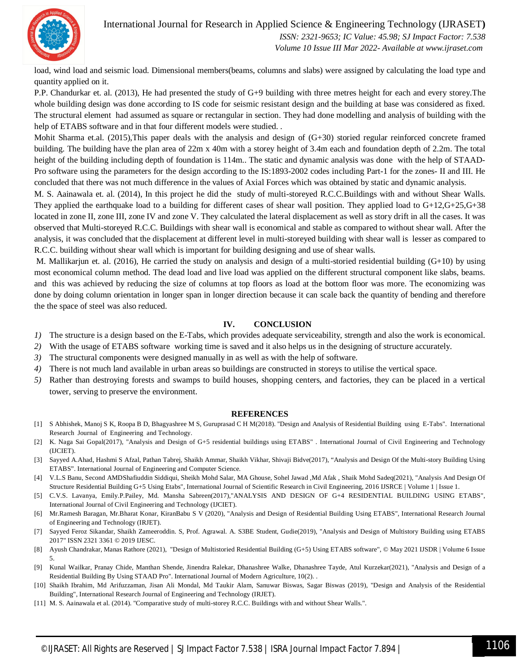International Journal for Research in Applied Science & Engineering Technology (IJRASET**)**



 *ISSN: 2321-9653; IC Value: 45.98; SJ Impact Factor: 7.538 Volume 10 Issue III Mar 2022- Available at www.ijraset.com*

load, wind load and seismic load. Dimensional members(beams, columns and slabs) were assigned by calculating the load type and quantity applied on it.

P.P. Chandurkar et. al. (2013), He had presented the study of G+9 building with three metres height for each and every storey.The whole building design was done according to IS code for seismic resistant design and the building at base was considered as fixed. The structural element had assumed as square or rectangular in section. They had done modelling and analysis of building with the help of ETABS software and in that four different models were studied. .

Mohit Sharma et.al. (2015),This paper deals with the analysis and design of (G+30) storied regular reinforced concrete framed building. The building have the plan area of 22m x 40m with a storey height of 3.4m each and foundation depth of 2.2m. The total height of the building including depth of foundation is 114m.. The static and dynamic analysis was done with the help of STAAD-Pro software using the parameters for the design according to the IS:1893-2002 codes including Part-1 for the zones- II and III. He concluded that there was not much difference in the values of Axial Forces which was obtained by static and dynamic analysis.

M. S. Aainawala et. al. (2014), In this project he did the study of multi-storeyed R.C.C.Buildings with and without Shear Walls. They applied the earthquake load to a building for different cases of shear wall position. They applied load to G+12,G+25,G+38 located in zone II, zone III, zone IV and zone V. They calculated the lateral displacement as well as story drift in all the cases. It was observed that Multi-storeyed R.C.C. Buildings with shear wall is economical and stable as compared to without shear wall. After the analysis, it was concluded that the displacement at different level in multi-storeyed building with shear wall is lesser as compared to R.C.C. building without shear wall which is important for building designing and use of shear walls.

M. Mallikarjun et. al. (2016), He carried the study on analysis and design of a multi-storied residential building (G+10) by using most economical column method. The dead load and live load was applied on the different structural component like slabs, beams. and this was achieved by reducing the size of columns at top floors as load at the bottom floor was more. The economizing was done by doing column orientation in longer span in longer direction because it can scale back the quantity of bending and therefore the the space of steel was also reduced.

#### **IV. CONCLUSION**

- *1)* The structure is a design based on the E-Tabs, which provides adequate serviceability, strength and also the work is economical.
- *2)* With the usage of ETABS software working time is saved and it also helps us in the designing of structure accurately.
- *3)* The structural components were designed manually in as well as with the help of software.
- *4)* There is not much land available in urban areas so buildings are constructed in storeys to utilise the vertical space.
- *5)* Rather than destroying forests and swamps to build houses, shopping centers, and factories, they can be placed in a vertical tower, serving to preserve the environment.

#### **REFERENCES**

- [1] S Abhishek, Manoj S K, Roopa B D, Bhagyashree M S, Guruprasad C H M(2018). "Design and Analysis of Residential Building using E-Tabs". International Research Journal of Engineering and Technology.
- [2] K. Naga Sai Gopal(2017), "Analysis and Design of G+5 residential buildings using ETABS" . International Journal of Civil Engineering and Technology (IJCIET).
- [3] Sayyed A.Ahad, Hashmi S Afzal, Pathan Tabrej, Shaikh Ammar, Shaikh Vikhar, Shivaji Bidve(2017), "Analysis and Design Of the Multi-story Building Using ETABS". International Journal of Engineering and Computer Science.
- [4] V.L.S Banu, Second AMDShafiuddin Siddiqui, Sheikh Mohd Salar, MA Ghouse, Sohel Jawad ,Md Afak , Shaik Mohd Sadeq(2021), "Analysis And Design Of Structure Residential Building G+5 Using Etabs", International Journal of Scientific Research in Civil Engineering, 2016 IJSRCE | Volume 1 | Issue 1.
- [5] C.V.S. Lavanya, Emily.P.Pailey, Md. Mansha Sabreen(2017),"ANALYSIS AND DESIGN OF G+4 RESIDENTIAL BUILDING USING ETABS", International Journal of Civil Engineering and Technology (IJCIET).
- [6] Mr.Ramesh Baragan, Mr.Bharat Konar, KiranBabu S V (2020), "Analysis and Design of Residential Building Using ETABS", International Research Journal of Engineering and Technology (IRJET).
- [7] Sayyed Feroz Sikandar, Shaikh Zameeroddin. S, Prof. Agrawal. A. S3BE Student, Gudie(2019), "Analysis and Design of Multistory Building using ETABS 2017" ISSN 2321 3361 © 2019 IJESC.
- [8] Ayush Chandrakar, Manas Rathore (2021), "Design of Multistoried Residential Building (G+5) Using ETABS software", © May 2021 IJSDR | Volume 6 Issue 5.
- [9] Kunal Wailkar, Pranay Chide, Manthan Shende, Jinendra Ralekar, Dhanashree Walke, Dhanashree Tayde, Atul Kurzekar(2021), "Analysis and Design of a Residential Building By Using STAAD Pro". International Journal of Modern Agriculture, 10(2). .
- [10] Shaikh Ibrahim, Md Arifuzzaman, Jisan Ali Mondal, Md Taukir Alam, Sanuwar Biswas, Sagar Biswas (2019), "Design and Analysis of the Residential Building", International Research Journal of Engineering and Technology (IRJET).
- [11] M. S. Aainawala et al. (2014). "Comparative study of multi-storey R.C.C. Buildings with and without Shear Walls.".